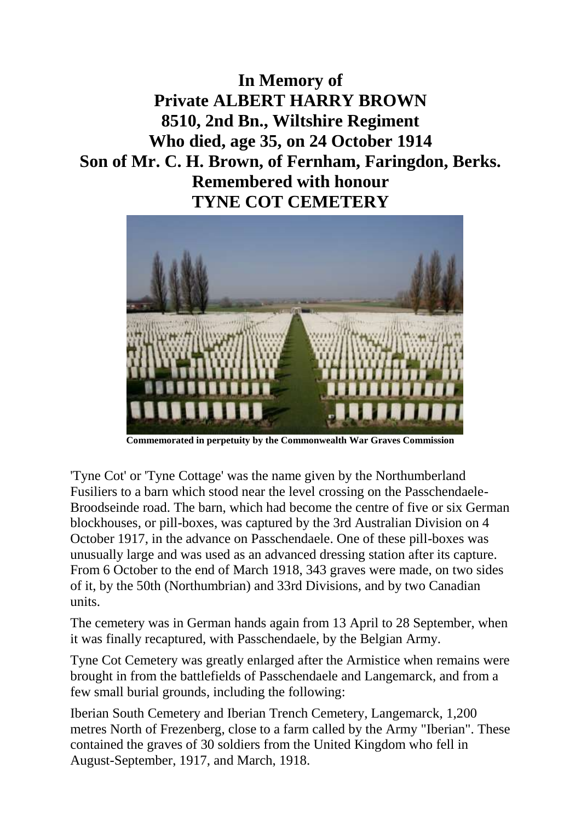**In Memory of Private ALBERT HARRY BROWN 8510, 2nd Bn., Wiltshire Regiment Who died, age 35, on 24 October 1914 Son of Mr. C. H. Brown, of Fernham, Faringdon, Berks. Remembered with honour TYNE COT CEMETERY**



**Commemorated in perpetuity by the Commonwealth War Graves Commission** 

'Tyne Cot' or 'Tyne Cottage' was the name given by the Northumberland Fusiliers to a barn which stood near the level crossing on the Passchendaele-Broodseinde road. The barn, which had become the centre of five or six German blockhouses, or pill-boxes, was captured by the 3rd Australian Division on 4 October 1917, in the advance on Passchendaele. One of these pill-boxes was unusually large and was used as an advanced dressing station after its capture. From 6 October to the end of March 1918, 343 graves were made, on two sides of it, by the 50th (Northumbrian) and 33rd Divisions, and by two Canadian units.

The cemetery was in German hands again from 13 April to 28 September, when it was finally recaptured, with Passchendaele, by the Belgian Army.

Tyne Cot Cemetery was greatly enlarged after the Armistice when remains were brought in from the battlefields of Passchendaele and Langemarck, and from a few small burial grounds, including the following:

Iberian South Cemetery and Iberian Trench Cemetery, Langemarck, 1,200 metres North of Frezenberg, close to a farm called by the Army "Iberian". These contained the graves of 30 soldiers from the United Kingdom who fell in August-September, 1917, and March, 1918.